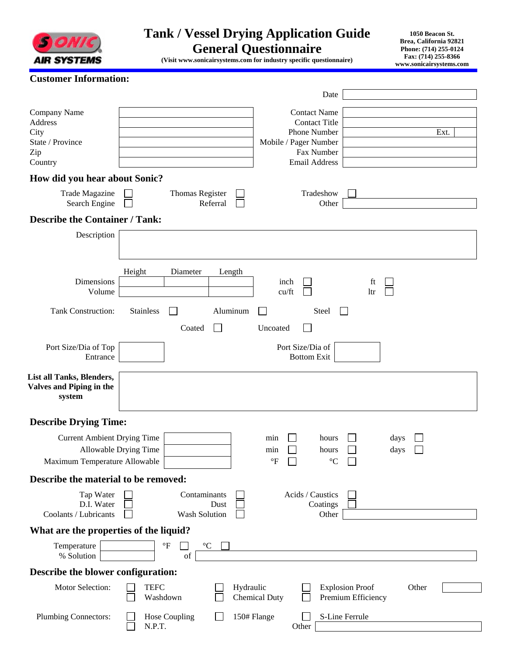

## **Tank / Vessel Drying Application Guide General Questionnaire**

**1050 Beacon St. Brea, California 92821 Phone: (714) 255-0124 Fax: (714) 255-8366 www.sonicairsystems.com** 

**(Visit www.sonicairsystems.com for industry specific questionnaire)** 

|  |  | <b>Customer Information:</b> |
|--|--|------------------------------|
|--|--|------------------------------|

|                                                                       | Date                                                                                                                               |
|-----------------------------------------------------------------------|------------------------------------------------------------------------------------------------------------------------------------|
| Company Name<br>Address<br>City<br>State / Province<br>Zip<br>Country | <b>Contact Name</b><br><b>Contact Title</b><br>Phone Number<br>Ext.<br>Mobile / Pager Number<br>Fax Number<br><b>Email Address</b> |
| How did you hear about Sonic?                                         |                                                                                                                                    |
| <b>Trade Magazine</b><br>Search Engine                                | Tradeshow<br>Thomas Register<br>Referral<br>Other                                                                                  |
| <b>Describe the Container / Tank:</b>                                 |                                                                                                                                    |
| Description                                                           |                                                                                                                                    |
| Dimensions<br>Volume                                                  | Height<br>Diameter<br>Length<br>inch<br>ft<br>cu/ft<br>ltr                                                                         |
| <b>Tank Construction:</b>                                             | <b>Stainless</b><br>Aluminum<br>Steel<br>$\mathbf{I}$                                                                              |
|                                                                       | Coated<br>$\vert \ \ \vert$<br>Uncoated                                                                                            |
| Port Size/Dia of Top<br>Entrance                                      | Port Size/Dia of<br><b>Bottom Exit</b>                                                                                             |
| List all Tanks, Blenders,<br>Valves and Piping in the<br>system       |                                                                                                                                    |
| <b>Describe Drying Time:</b>                                          |                                                                                                                                    |
| <b>Current Ambient Drying Time</b>                                    | min<br>hours<br>days                                                                                                               |
|                                                                       | Allowable Drying Time<br>min<br>hours<br>days<br>$\mathrm{^{\circ}F}$                                                              |
| Maximum Temperature Allowable<br>Describe the material to be removed: | $^{\circ}{\rm C}$                                                                                                                  |
|                                                                       | Contaminants<br>Acids / Caustics                                                                                                   |
| Tap Water<br>D.I. Water<br>Coolants / Lubricants                      | Coatings<br>Dust<br>Wash Solution<br>Other                                                                                         |
| What are the properties of the liquid?                                |                                                                                                                                    |
| Temperature<br>% Solution                                             | $\mathrm{^{\circ}F}$<br>$^{\circ}{\rm C}$<br>of                                                                                    |
| Describe the blower configuration:                                    |                                                                                                                                    |
| Motor Selection:                                                      | <b>TEFC</b><br>Hydraulic<br><b>Explosion Proof</b><br>Other<br><b>Chemical Duty</b><br>Premium Efficiency<br>Washdown              |
| <b>Plumbing Connectors:</b>                                           | 150# Flange<br>S-Line Ferrule<br><b>Hose Coupling</b><br>N.P.T.<br>Other                                                           |